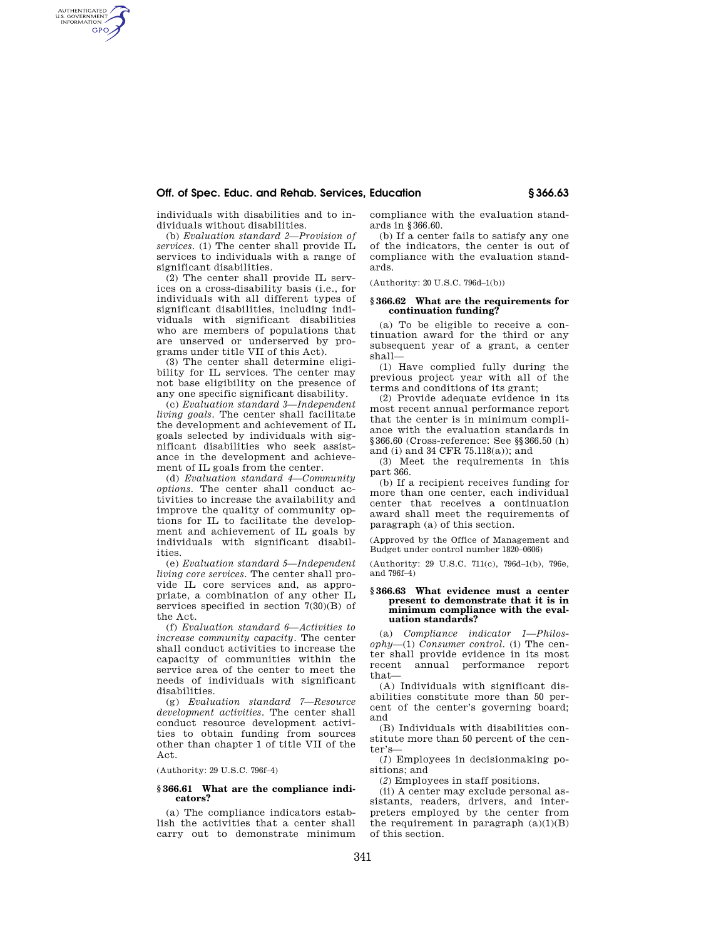## **Off. of Spec. Educ. and Rehab. Services, Education § 366.63**

individuals with disabilities and to individuals without disabilities.

AUTHENTICATED<br>U.S. GOVERNMENT<br>INFORMATION **GPO** 

> (b) *Evaluation standard 2—Provision of services.* (1) The center shall provide IL services to individuals with a range of significant disabilities.

> (2) The center shall provide IL services on a cross-disability basis (i.e., for individuals with all different types of significant disabilities, including individuals with significant disabilities who are members of populations that are unserved or underserved by programs under title VII of this Act).

> (3) The center shall determine eligibility for IL services. The center may not base eligibility on the presence of any one specific significant disability.

> (c) *Evaluation standard 3—Independent living goals.* The center shall facilitate the development and achievement of IL goals selected by individuals with significant disabilities who seek assistance in the development and achievement of IL goals from the center.

> (d) *Evaluation standard 4—Community options.* The center shall conduct activities to increase the availability and improve the quality of community options for IL to facilitate the development and achievement of IL goals by individuals with significant disabilities.

> (e) *Evaluation standard 5—Independent living core services.* The center shall provide IL core services and, as appropriate, a combination of any other IL services specified in section 7(30)(B) of the Act.

> (f) *Evaluation standard 6—Activities to increase community capacity.* The center shall conduct activities to increase the capacity of communities within the service area of the center to meet the needs of individuals with significant disabilities.

> (g) *Evaluation standard 7—Resource development activities.* The center shall conduct resource development activities to obtain funding from sources other than chapter 1 of title VII of the Act.

(Authority: 29 U.S.C. 796f–4)

### **§ 366.61 What are the compliance indicators?**

(a) The compliance indicators establish the activities that a center shall carry out to demonstrate minimum compliance with the evaluation standards in §366.60.

(b) If a center fails to satisfy any one of the indicators, the center is out of compliance with the evaluation standards.

(Authority: 20 U.S.C. 796d–1(b))

### **§ 366.62 What are the requirements for continuation funding?**

(a) To be eligible to receive a continuation award for the third or any subsequent year of a grant, a center shall—

(1) Have complied fully during the previous project year with all of the terms and conditions of its grant;

(2) Provide adequate evidence in its most recent annual performance report that the center is in minimum compliance with the evaluation standards in §366.60 (Cross-reference: See §§366.50 (h) and (i) and 34 CFR 75.118(a)); and

(3) Meet the requirements in this part 366.

(b) If a recipient receives funding for more than one center, each individual center that receives a continuation award shall meet the requirements of paragraph (a) of this section.

(Approved by the Office of Management and Budget under control number 1820–0606)

(Authority: 29 U.S.C. 711(c), 796d–1(b), 796e, and 796f–4)

#### **§ 366.63 What evidence must a center present to demonstrate that it is in minimum compliance with the evaluation standards?**

(a) *Compliance indicator 1—Philosophy*—(1) *Consumer control.* (i) The center shall provide evidence in its most recent annual performance report that—

(A) Individuals with significant disabilities constitute more than 50 percent of the center's governing board; and

(B) Individuals with disabilities constitute more than 50 percent of the center's—

(*1*) Employees in decisionmaking positions; and

(*2*) Employees in staff positions.

(ii) A center may exclude personal assistants, readers, drivers, and interpreters employed by the center from the requirement in paragraph  $(a)(1)(B)$ of this section.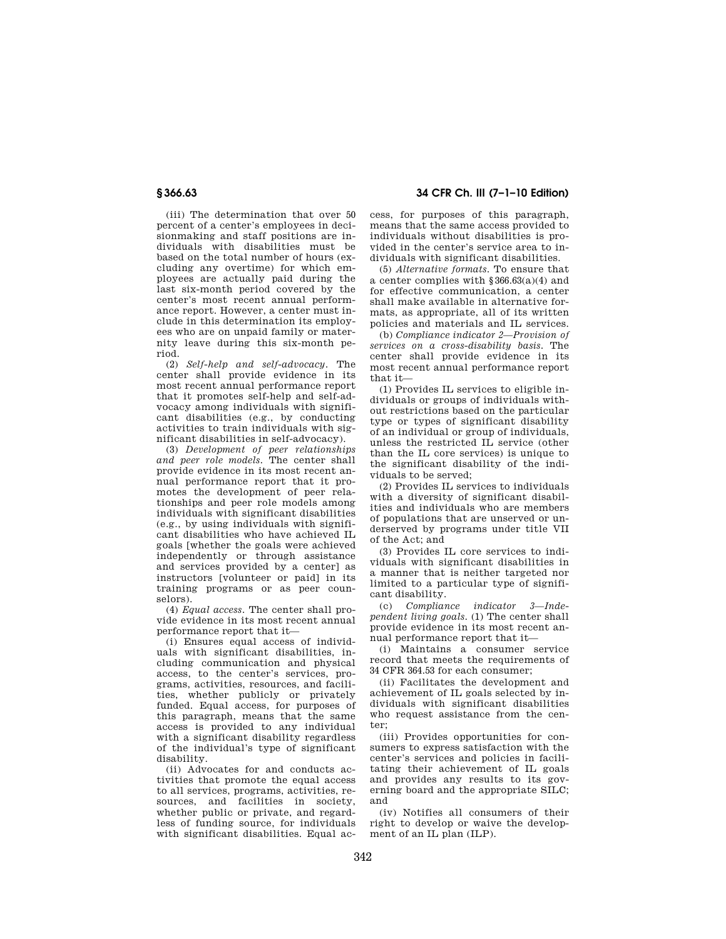**§ 366.63 34 CFR Ch. III (7–1–10 Edition)** 

(iii) The determination that over 50 percent of a center's employees in decisionmaking and staff positions are individuals with disabilities must be based on the total number of hours (excluding any overtime) for which employees are actually paid during the last six-month period covered by the center's most recent annual performance report. However, a center must include in this determination its employees who are on unpaid family or maternity leave during this six-month period.

(2) *Self-help and self-advocacy.* The center shall provide evidence in its most recent annual performance report that it promotes self-help and self-advocacy among individuals with significant disabilities (e.g., by conducting activities to train individuals with significant disabilities in self-advocacy).

(3) *Development of peer relationships and peer role models.* The center shall provide evidence in its most recent annual performance report that it promotes the development of peer relationships and peer role models among individuals with significant disabilities (e.g., by using individuals with significant disabilities who have achieved IL goals [whether the goals were achieved independently or through assistance and services provided by a center] as instructors [volunteer or paid] in its training programs or as peer counselors).

(4) *Equal access.* The center shall provide evidence in its most recent annual performance report that it—

(i) Ensures equal access of individuals with significant disabilities, including communication and physical access, to the center's services, programs, activities, resources, and facilities, whether publicly or privately funded. Equal access, for purposes of this paragraph, means that the same access is provided to any individual with a significant disability regardless of the individual's type of significant disability.

(ii) Advocates for and conducts activities that promote the equal access to all services, programs, activities, resources, and facilities in society, whether public or private, and regardless of funding source, for individuals with significant disabilities. Equal access, for purposes of this paragraph, means that the same access provided to individuals without disabilities is provided in the center's service area to individuals with significant disabilities.

(5) *Alternative formats.* To ensure that a center complies with §366.63(a)(4) and for effective communication, a center shall make available in alternative formats, as appropriate, all of its written policies and materials and IL services.

(b) *Compliance indicator 2—Provision of services on a cross-disability basis.* The center shall provide evidence in its most recent annual performance report that it—

(1) Provides IL services to eligible individuals or groups of individuals without restrictions based on the particular type or types of significant disability of an individual or group of individuals, unless the restricted IL service (other than the IL core services) is unique to the significant disability of the individuals to be served;

(2) Provides IL services to individuals with a diversity of significant disabilities and individuals who are members of populations that are unserved or underserved by programs under title VII of the Act; and

(3) Provides IL core services to individuals with significant disabilities in a manner that is neither targeted nor limited to a particular type of significant disability.

(c) *Compliance indicator 3—Independent living goals.* (1) The center shall provide evidence in its most recent annual performance report that it—

(i) Maintains a consumer service record that meets the requirements of 34 CFR 364.53 for each consumer;

(ii) Facilitates the development and achievement of IL goals selected by individuals with significant disabilities who request assistance from the center;

(iii) Provides opportunities for consumers to express satisfaction with the center's services and policies in facilitating their achievement of IL goals and provides any results to its governing board and the appropriate SILC; and

(iv) Notifies all consumers of their right to develop or waive the development of an IL plan (ILP).